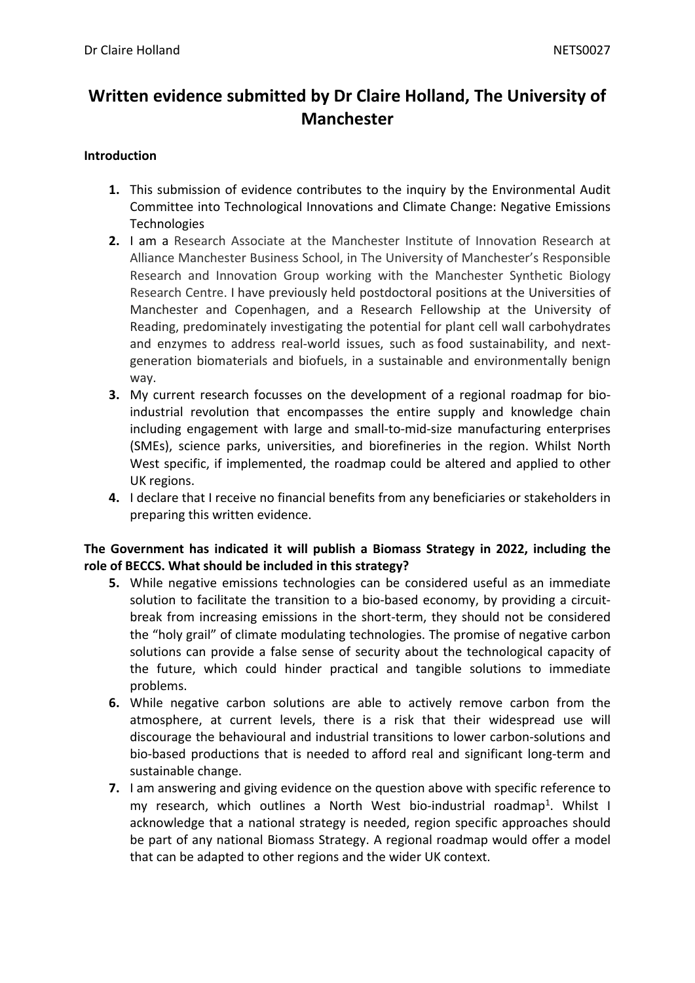# **Written evidence submitted by Dr Claire Holland, The University of Manchester**

#### **Introduction**

- **1.** This submission of evidence contributes to the inquiry by the Environmental Audit Committee into Technological Innovations and Climate Change: Negative Emissions **Technologies**
- **2.** I am a Research Associate at the Manchester Institute of Innovation Research at Alliance Manchester Business School, in The University of Manchester's Responsible Research and Innovation Group working with the Manchester Synthetic Biology Research Centre. I have previously held postdoctoral positions at the Universities of Manchester and Copenhagen, and a Research Fellowship at the University of Reading, predominately investigating the potential for plant cell wall carbohydrates and enzymes to address real-world issues, such as food sustainability, and nextgeneration biomaterials and biofuels, in a sustainable and environmentally benign way.
- **3.** My current research focusses on the development of a regional roadmap for bioindustrial revolution that encompasses the entire supply and knowledge chain including engagement with large and small-to-mid-size manufacturing enterprises (SMEs), science parks, universities, and biorefineries in the region. Whilst North West specific, if implemented, the roadmap could be altered and applied to other UK regions.
- **4.** I declare that I receive no financial benefits from any beneficiaries or stakeholders in preparing this written evidence.

## **The Government has indicated it will publish a Biomass Strategy in 2022, including the role of BECCS. What should be included in this strategy?**

- **5.** While negative emissions technologies can be considered useful as an immediate solution to facilitate the transition to a bio-based economy, by providing a circuitbreak from increasing emissions in the short-term, they should not be considered the "holy grail" of climate modulating technologies. The promise of negative carbon solutions can provide a false sense of security about the technological capacity of the future, which could hinder practical and tangible solutions to immediate problems.
- **6.** While negative carbon solutions are able to actively remove carbon from the atmosphere, at current levels, there is a risk that their widespread use will discourage the behavioural and industrial transitions to lower carbon-solutions and bio-based productions that is needed to afford real and significant long-term and sustainable change.
- **7.** I am answering and giving evidence on the question above with specific reference to my research, which outlines a North West bio-industrial roadmap<sup>1</sup>. Whilst I acknowledge that a national strategy is needed, region specific approaches should be part of any national Biomass Strategy. A regional roadmap would offer a model that can be adapted to other regions and the wider UK context.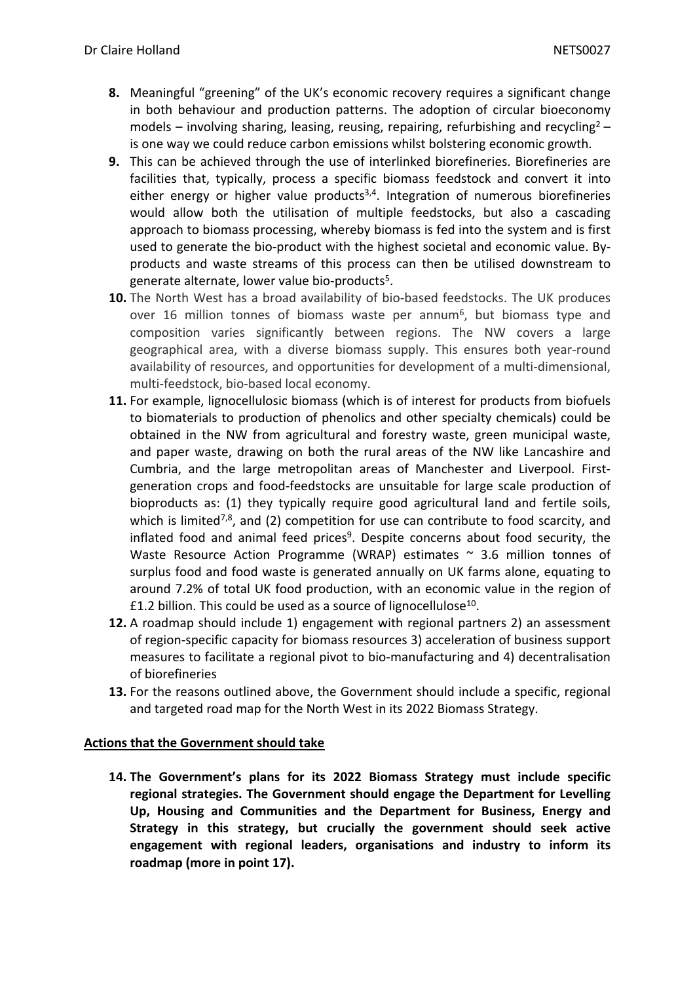- **8.** Meaningful "greening" of the UK's economic recovery requires a significant change in both behaviour and production patterns. The adoption of circular bioeconomy models – involving sharing, leasing, reusing, repairing, refurbishing and recycling<sup>2</sup> – is one way we could reduce carbon emissions whilst bolstering economic growth.
- **9.** This can be achieved through the use of interlinked biorefineries. Biorefineries are facilities that, typically, process a specific biomass feedstock and convert it into either energy or higher value products<sup>3,4</sup>. Integration of numerous biorefineries would allow both the utilisation of multiple feedstocks, but also a cascading approach to biomass processing, whereby biomass is fed into the system and is first used to generate the bio-product with the highest societal and economic value. Byproducts and waste streams of this process can then be utilised downstream to generate alternate, lower value bio-products<sup>5</sup>.
- **10.** The North West has a broad availability of bio-based feedstocks. The UK produces over 16 million tonnes of biomass waste per annum<sup>6</sup>, but biomass type and composition varies significantly between regions. The NW covers a large geographical area, with a diverse biomass supply. This ensures both year-round availability of resources, and opportunities for development of a multi-dimensional, multi-feedstock, bio-based local economy.
- **11.** For example, lignocellulosic biomass (which is of interest for products from biofuels to biomaterials to production of phenolics and other specialty chemicals) could be obtained in the NW from agricultural and forestry waste, green municipal waste, and paper waste, drawing on both the rural areas of the NW like Lancashire and Cumbria, and the large metropolitan areas of Manchester and Liverpool. Firstgeneration crops and food-feedstocks are unsuitable for large scale production of bioproducts as: (1) they typically require good agricultural land and fertile soils, which is limited<sup>7,8</sup>, and (2) competition for use can contribute to food scarcity, and inflated food and animal feed prices<sup>9</sup>. Despite concerns about food security, the Waste Resource Action Programme (WRAP) estimates  $\sim$  3.6 million tonnes of surplus food and food waste is generated annually on UK farms alone, equating to around 7.2% of total UK food production, with an economic value in the region of £1.2 billion. This could be used as a source of lignocellulose<sup>10</sup>.
- **12.** A roadmap should include 1) engagement with regional partners 2) an assessment of region-specific capacity for biomass resources 3) acceleration of business support measures to facilitate a regional pivot to bio-manufacturing and 4) decentralisation of biorefineries
- **13.** For the reasons outlined above, the Government should include a specific, regional and targeted road map for the North West in its 2022 Biomass Strategy.

### **Actions that the Government should take**

**14. The Government's plans for its 2022 Biomass Strategy must include specific regional strategies. The Government should engage the Department for Levelling Up, Housing and Communities and the Department for Business, Energy and Strategy in this strategy, but crucially the government should seek active engagement with regional leaders, organisations and industry to inform its roadmap (more in point 17).**